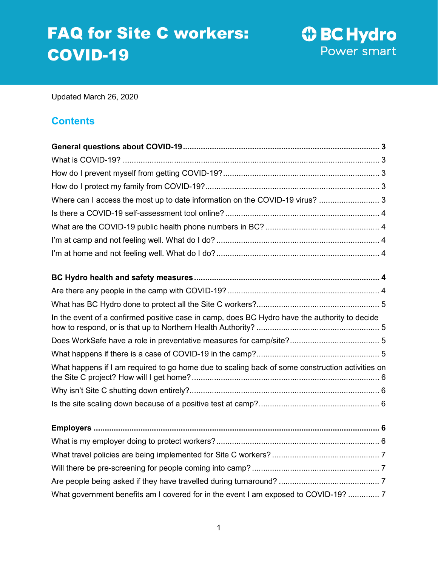# FAQ for Site C workers: COVID-19

**1** BC Hydro Power smart

Updated March 26, 2020

# **Contents**

| Where can I access the most up to date information on the COVID-19 virus?  3                    |
|-------------------------------------------------------------------------------------------------|
|                                                                                                 |
|                                                                                                 |
|                                                                                                 |
|                                                                                                 |
|                                                                                                 |
|                                                                                                 |
|                                                                                                 |
| In the event of a confirmed positive case in camp, does BC Hydro have the authority to decide   |
|                                                                                                 |
|                                                                                                 |
| What happens if I am required to go home due to scaling back of some construction activities on |
|                                                                                                 |
|                                                                                                 |
|                                                                                                 |
|                                                                                                 |
|                                                                                                 |
|                                                                                                 |
|                                                                                                 |
| What government benefits am I covered for in the event I am exposed to COVID-19?  7             |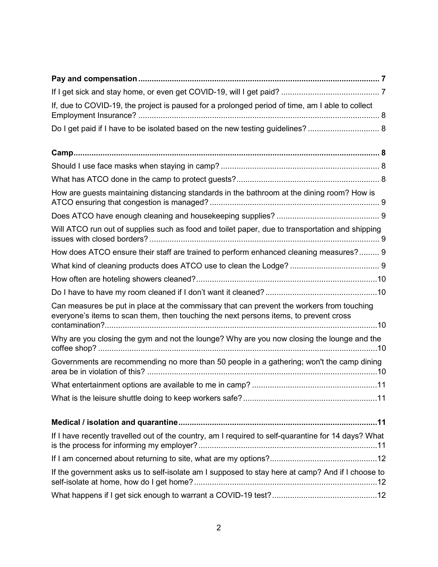| If, due to COVID-19, the project is paused for a prolonged period of time, am I able to collect                                                                                    |
|------------------------------------------------------------------------------------------------------------------------------------------------------------------------------------|
| Do I get paid if I have to be isolated based on the new testing guidelines?  8                                                                                                     |
|                                                                                                                                                                                    |
|                                                                                                                                                                                    |
|                                                                                                                                                                                    |
| How are guests maintaining distancing standards in the bathroom at the dining room? How is                                                                                         |
|                                                                                                                                                                                    |
| Will ATCO run out of supplies such as food and toilet paper, due to transportation and shipping                                                                                    |
| How does ATCO ensure their staff are trained to perform enhanced cleaning measures? 9                                                                                              |
|                                                                                                                                                                                    |
|                                                                                                                                                                                    |
|                                                                                                                                                                                    |
| Can measures be put in place at the commissary that can prevent the workers from touching<br>everyone's items to scan them, then touching the next persons items, to prevent cross |
| Why are you closing the gym and not the lounge? Why are you now closing the lounge and the                                                                                         |
| Governments are recommending no more than 50 people in a gathering; won't the camp dining                                                                                          |
|                                                                                                                                                                                    |
|                                                                                                                                                                                    |
|                                                                                                                                                                                    |
| If I have recently travelled out of the country, am I required to self-quarantine for 14 days? What                                                                                |
|                                                                                                                                                                                    |
| If the government asks us to self-isolate am I supposed to stay here at camp? And if I choose to                                                                                   |
|                                                                                                                                                                                    |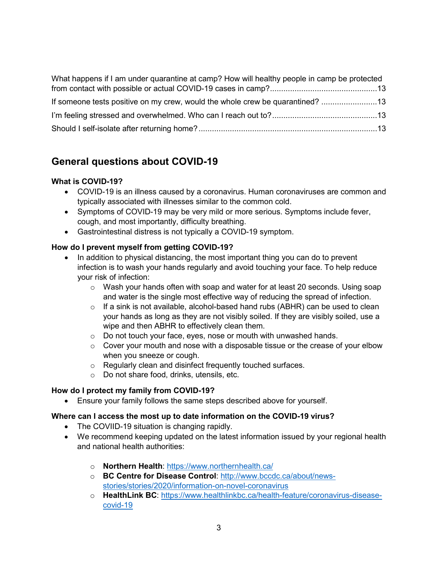| What happens if I am under quarantine at camp? How will healthy people in camp be protected |  |
|---------------------------------------------------------------------------------------------|--|
|                                                                                             |  |
| If someone tests positive on my crew, would the whole crew be quarantined?                  |  |
|                                                                                             |  |
|                                                                                             |  |

# <span id="page-2-0"></span>**General questions about COVID-19**

# <span id="page-2-1"></span>**What is COVID-19?**

- COVID-19 is an illness caused by a coronavirus. Human coronaviruses are common and typically associated with illnesses similar to the common cold.
- Symptoms of COVID-19 may be very mild or more serious. Symptoms include fever, cough, and most importantly, difficulty breathing.
- Gastrointestinal distress is not typically a COVID-19 symptom.

# <span id="page-2-2"></span>**How do I prevent myself from getting COVID-19?**

- In addition to physical distancing, the most important thing you can do to prevent infection is to wash your hands regularly and avoid touching your face. To help reduce your risk of infection:
	- $\circ$  Wash your hands often with soap and water for at least 20 seconds. Using soap and water is the single most effective way of reducing the spread of infection.
	- o If a sink is not available, alcohol-based hand rubs (ABHR) can be used to clean your hands as long as they are not visibly soiled. If they are visibly soiled, use a wipe and then ABHR to effectively clean them.
	- o Do not touch your face, eyes, nose or mouth with unwashed hands.
	- $\circ$  Cover your mouth and nose with a disposable tissue or the crease of your elbow when you sneeze or cough.
	- o Regularly clean and disinfect frequently touched surfaces.
	- o Do not share food, drinks, utensils, etc.

# <span id="page-2-3"></span>**How do I protect my family from COVID-19?**

• Ensure your family follows the same steps described above for yourself.

# <span id="page-2-4"></span>**Where can I access the most up to date information on the COVID-19 virus?**

- The COVIID-19 situation is changing rapidly.
- We recommend keeping updated on the latest information issued by your regional health and national health authorities:
	- o **Northern Health**:<https://www.northernhealth.ca/>
	- o **BC Centre for Disease Control**: [http://www.bccdc.ca/about/news](http://www.bccdc.ca/about/news-stories/stories/2020/information-on-novel-coronavirus)[stories/stories/2020/information-on-novel-coronavirus](http://www.bccdc.ca/about/news-stories/stories/2020/information-on-novel-coronavirus)
	- o **HealthLink BC**: [https://www.healthlinkbc.ca/health-feature/coronavirus-disease](https://www.healthlinkbc.ca/health-feature/coronavirus-disease-covid-19)[covid-19](https://www.healthlinkbc.ca/health-feature/coronavirus-disease-covid-19)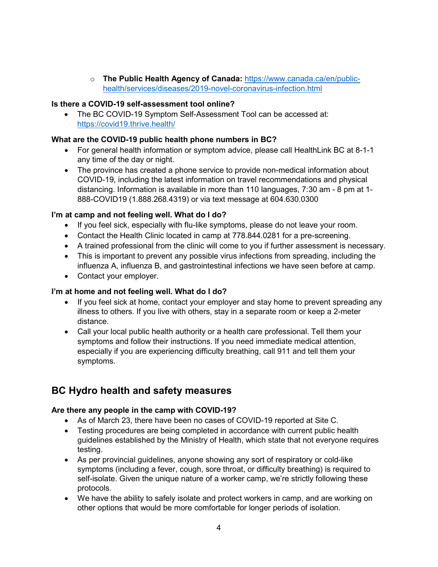o **The Public Health Agency of Canada:** [https://www.canada.ca/en/public](https://www.canada.ca/en/public-health/services/diseases/2019-novel-coronavirus-infection.html)[health/services/diseases/2019-novel-coronavirus-infection.html](https://www.canada.ca/en/public-health/services/diseases/2019-novel-coronavirus-infection.html)

## <span id="page-3-0"></span>**Is there a COVID-19 self-assessment tool online?**

• The BC COVID-19 Symptom Self-Assessment Tool can be accessed at: <https://covid19.thrive.health/>

#### <span id="page-3-1"></span>**What are the COVID-19 public health phone numbers in BC?**

- For general health information or symptom advice, please call HealthLink BC at 8-1-1 any time of the day or night.
- The province has created a phone service to provide non-medical information about COVID-19, including the latest information on travel recommendations and physical distancing. Information is available in more than 110 languages, 7:30 am - 8 pm at 1- 888-COVID19 (1.888.268.4319) or via text message at 604.630.0300

#### <span id="page-3-2"></span>**I'm at camp and not feeling well. What do I do?**

- If you feel sick, especially with flu-like symptoms, please do not leave your room.
- Contact the Health Clinic located in camp at 778.844.0281 for a pre-screening.
- A trained professional from the clinic will come to you if further assessment is necessary.
- This is important to prevent any possible virus infections from spreading, including the influenza A, influenza B, and gastrointestinal infections we have seen before at camp.
- Contact your employer.

#### <span id="page-3-3"></span>**I'm at home and not feeling well. What do I do?**

- If you feel sick at home, contact your employer and stay home to prevent spreading any illness to others. If you live with others, stay in a separate room or keep a 2-meter distance.
- Call your local public health authority or a health care professional. Tell them your symptoms and follow their instructions. If you need immediate medical attention, especially if you are experiencing difficulty breathing, call 911 and tell them your symptoms.

# <span id="page-3-4"></span>**BC Hydro health and safety measures**

#### <span id="page-3-5"></span>**Are there any people in the camp with COVID-19?**

- As of March 23, there have been no cases of COVID-19 reported at Site C.
- Testing procedures are being completed in accordance with current public health guidelines established by the Ministry of Health, which state that not everyone requires testing.
- As per provincial guidelines, anyone showing any sort of respiratory or cold-like symptoms (including a fever, cough, sore throat, or difficulty breathing) is required to self-isolate. Given the unique nature of a worker camp, we're strictly following these protocols.
- We have the ability to safely isolate and protect workers in camp, and are working on other options that would be more comfortable for longer periods of isolation.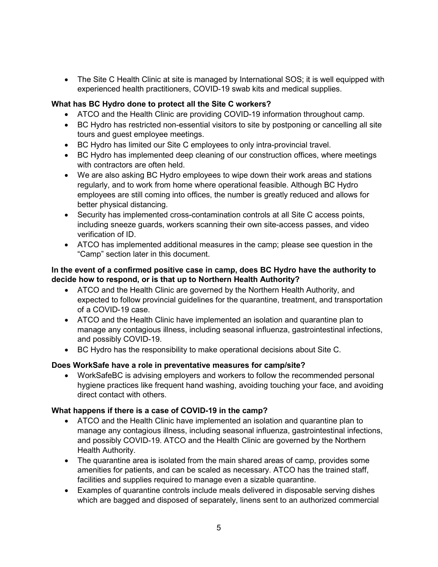• The Site C Health Clinic at site is managed by International SOS; it is well equipped with experienced health practitioners, COVID-19 swab kits and medical supplies.

#### <span id="page-4-0"></span>**What has BC Hydro done to protect all the Site C workers?**

- ATCO and the Health Clinic are providing COVID-19 information throughout camp.
- BC Hydro has restricted non-essential visitors to site by postponing or cancelling all site tours and guest employee meetings.
- BC Hydro has limited our Site C employees to only intra-provincial travel.
- BC Hydro has implemented deep cleaning of our construction offices, where meetings with contractors are often held.
- We are also asking BC Hydro employees to wipe down their work areas and stations regularly, and to work from home where operational feasible. Although BC Hydro employees are still coming into offices, the number is greatly reduced and allows for better physical distancing.
- Security has implemented cross-contamination controls at all Site C access points, including sneeze guards, workers scanning their own site-access passes, and video verification of ID.
- ATCO has implemented additional measures in the camp; please see question in the "Camp" section later in this document.

## <span id="page-4-1"></span>**In the event of a confirmed positive case in camp, does BC Hydro have the authority to decide how to respond, or is that up to Northern Health Authority?**

- ATCO and the Health Clinic are governed by the Northern Health Authority, and expected to follow provincial guidelines for the quarantine, treatment, and transportation of a COVID-19 case.
- ATCO and the Health Clinic have implemented an isolation and quarantine plan to manage any contagious illness, including seasonal influenza, gastrointestinal infections, and possibly COVID-19.
- BC Hydro has the responsibility to make operational decisions about Site C.

# <span id="page-4-2"></span>**Does WorkSafe have a role in preventative measures for camp/site?**

• WorkSafeBC is advising employers and workers to follow the recommended personal hygiene practices like frequent hand washing, avoiding touching your face, and avoiding direct contact with others.

#### <span id="page-4-3"></span>**What happens if there is a case of COVID-19 in the camp?**

- ATCO and the Health Clinic have implemented an isolation and quarantine plan to manage any contagious illness, including seasonal influenza, gastrointestinal infections, and possibly COVID-19. ATCO and the Health Clinic are governed by the Northern Health Authority.
- The quarantine area is isolated from the main shared areas of camp, provides some amenities for patients, and can be scaled as necessary. ATCO has the trained staff, facilities and supplies required to manage even a sizable quarantine.
- Examples of quarantine controls include meals delivered in disposable serving dishes which are bagged and disposed of separately, linens sent to an authorized commercial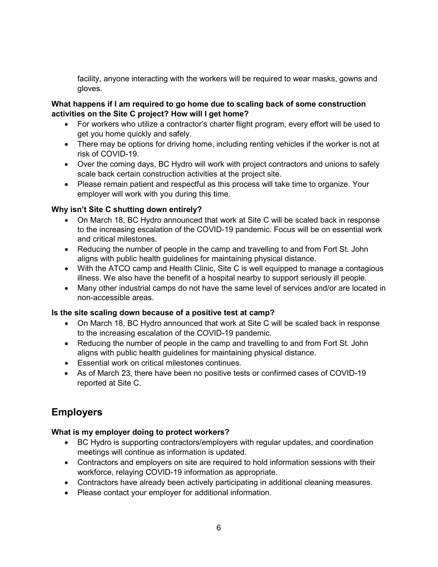facility, anyone interacting with the workers will be required to wear masks, gowns and gloves.

### <span id="page-5-0"></span>**What happens if I am required to go home due to scaling back of some construction activities on the Site C project? How will I get home?**

- For workers who utilize a contractor's charter flight program, every effort will be used to get you home quickly and safely.
- There may be options for driving home, including renting vehicles if the worker is not at risk of COVID-19.
- Over the coming days, BC Hydro will work with project contractors and unions to safely scale back certain construction activities at the project site.
- Please remain patient and respectful as this process will take time to organize. Your employer will work with you during this time.

# <span id="page-5-1"></span>**Why isn't Site C shutting down entirely?**

- On March 18, BC Hydro announced that work at Site C will be scaled back in response to the increasing escalation of the COVID-19 pandemic. Focus will be on essential work and critical milestones.
- Reducing the number of people in the camp and travelling to and from Fort St. John aligns with public health guidelines for maintaining physical distance.
- With the ATCO camp and Health Clinic, Site C is well equipped to manage a contagious illness. We also have the benefit of a hospital nearby to support seriously ill people.
- Many other industrial camps do not have the same level of services and/or are located in non-accessible areas.

#### <span id="page-5-2"></span>**Is the site scaling down because of a positive test at camp?**

- On March 18, BC Hydro announced that work at Site C will be scaled back in response to the increasing escalation of the COVID-19 pandemic.
- Reducing the number of people in the camp and travelling to and from Fort St. John aligns with public health guidelines for maintaining physical distance.
- Essential work on critical milestones continues.
- As of March 23, there have been no positive tests or confirmed cases of COVID-19 reported at Site C.

# <span id="page-5-3"></span>**Employers**

#### <span id="page-5-4"></span>**What is my employer doing to protect workers?**

- BC Hydro is supporting contractors/employers with regular updates, and coordination meetings will continue as information is updated.
- Contractors and employers on site are required to hold information sessions with their workforce, relaying COVID-19 information as appropriate.
- Contractors have already been actively participating in additional cleaning measures.
- Please contact your employer for additional information.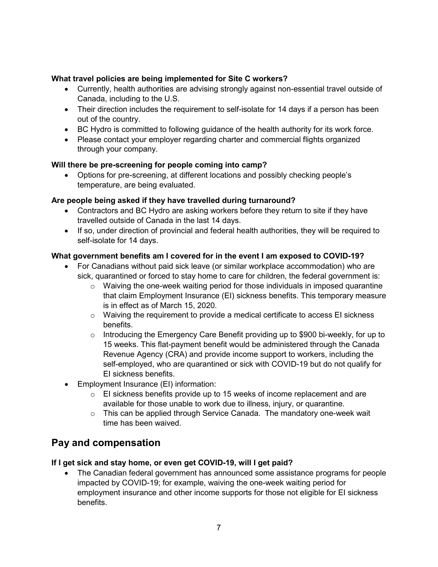# <span id="page-6-0"></span>**What travel policies are being implemented for Site C workers?**

- Currently, health authorities are advising strongly against non-essential travel outside of Canada, including to the U.S.
- Their direction includes the requirement to self-isolate for 14 days if a person has been out of the country.
- BC Hydro is committed to following guidance of the health authority for its work force.
- Please contact your employer regarding charter and commercial flights organized through your company.

#### <span id="page-6-1"></span>**Will there be pre-screening for people coming into camp?**

• Options for pre-screening, at different locations and possibly checking people's temperature, are being evaluated.

#### <span id="page-6-2"></span>**Are people being asked if they have travelled during turnaround?**

- Contractors and BC Hydro are asking workers before they return to site if they have travelled outside of Canada in the last 14 days.
- If so, under direction of provincial and federal health authorities, they will be required to self-isolate for 14 days.

#### <span id="page-6-3"></span>**What government benefits am I covered for in the event I am exposed to COVID-19?**

- For Canadians without paid sick leave (or similar workplace accommodation) who are sick, quarantined or forced to stay home to care for children, the federal government is:
	- $\circ$  Waiving the one-week waiting period for those individuals in imposed quarantine that claim Employment Insurance (EI) sickness benefits. This temporary measure is in effect as of March 15, 2020.
	- o Waiving the requirement to provide a medical certificate to access EI sickness benefits.
	- $\circ$  Introducing the Emergency Care Benefit providing up to \$900 bi-weekly, for up to 15 weeks. This flat-payment benefit would be administered through the Canada Revenue Agency (CRA) and provide income support to workers, including the self-employed, who are quarantined or sick with COVID-19 but do not qualify for EI sickness benefits.
- Employment Insurance (EI) information:
	- o EI sickness benefits provide up to 15 weeks of income replacement and are available for those unable to work due to illness, injury, or quarantine.
	- o This can be applied through Service Canada. The mandatory one-week wait time has been waived.

# <span id="page-6-4"></span>**Pay and compensation**

# <span id="page-6-5"></span>**If I get sick and stay home, or even get COVID-19, will I get paid?**

• The Canadian federal government has announced some assistance programs for people impacted by COVID-19; for example, waiving the one-week waiting period for employment insurance and other income supports for those not eligible for EI sickness benefits.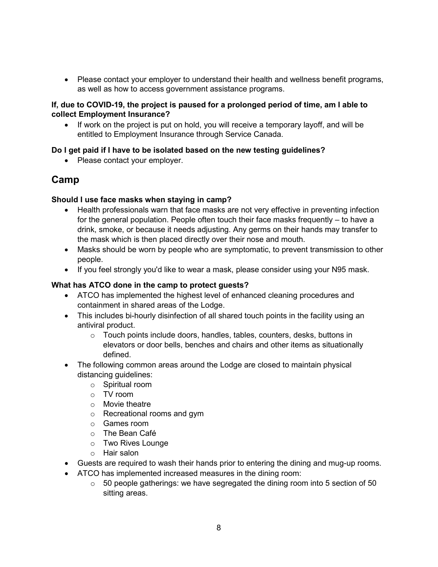• Please contact your employer to understand their health and wellness benefit programs, as well as how to access government assistance programs.

#### <span id="page-7-0"></span>**If, due to COVID-19, the project is paused for a prolonged period of time, am I able to collect Employment Insurance?**

• If work on the project is put on hold, you will receive a temporary layoff, and will be entitled to Employment Insurance through Service Canada.

# <span id="page-7-1"></span>**Do I get paid if I have to be isolated based on the new testing guidelines?**

• Please contact your employer.

# <span id="page-7-2"></span>**Camp**

#### <span id="page-7-3"></span>**Should I use face masks when staying in camp?**

- Health professionals warn that face masks are not very effective in preventing infection for the general population. People often touch their face masks frequently – to have a drink, smoke, or because it needs adjusting. Any germs on their hands may transfer to the mask which is then placed directly over their nose and mouth.
- Masks should be worn by people who are symptomatic, to prevent transmission to other people.
- If you feel strongly you'd like to wear a mask, please consider using your N95 mask.

## <span id="page-7-4"></span>**What has ATCO done in the camp to protect guests?**

- ATCO has implemented the highest level of enhanced cleaning procedures and containment in shared areas of the Lodge.
- This includes bi-hourly disinfection of all shared touch points in the facility using an antiviral product.
	- o Touch points include doors, handles, tables, counters, desks, buttons in elevators or door bells, benches and chairs and other items as situationally defined.
- The following common areas around the Lodge are closed to maintain physical distancing guidelines:
	- o Spiritual room
	- o TV room
	- o Movie theatre
	- o Recreational rooms and gym
	- o Games room
	- o The Bean Café
	- o Two Rives Lounge
	- o Hair salon
- Guests are required to wash their hands prior to entering the dining and mug-up rooms.
- ATCO has implemented increased measures in the dining room:
	- $\circ$  50 people gatherings: we have segregated the dining room into 5 section of 50 sitting areas.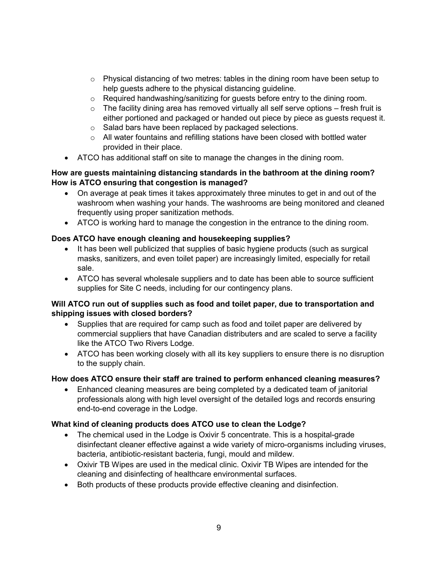- $\circ$  Physical distancing of two metres: tables in the dining room have been setup to help guests adhere to the physical distancing guideline.
- o Required handwashing/sanitizing for guests before entry to the dining room.
- $\circ$  The facility dining area has removed virtually all self serve options fresh fruit is either portioned and packaged or handed out piece by piece as guests request it.
- o Salad bars have been replaced by packaged selections.
- o All water fountains and refilling stations have been closed with bottled water provided in their place.
- ATCO has additional staff on site to manage the changes in the dining room.

## <span id="page-8-0"></span>**How are guests maintaining distancing standards in the bathroom at the dining room? How is ATCO ensuring that congestion is managed?**

- On average at peak times it takes approximately three minutes to get in and out of the washroom when washing your hands. The washrooms are being monitored and cleaned frequently using proper sanitization methods.
- ATCO is working hard to manage the congestion in the entrance to the dining room.

# <span id="page-8-1"></span>**Does ATCO have enough cleaning and housekeeping supplies?**

- It has been well publicized that supplies of basic hygiene products (such as surgical masks, sanitizers, and even toilet paper) are increasingly limited, especially for retail sale.
- ATCO has several wholesale suppliers and to date has been able to source sufficient supplies for Site C needs, including for our contingency plans.

#### <span id="page-8-2"></span>**Will ATCO run out of supplies such as food and toilet paper, due to transportation and shipping issues with closed borders?**

- Supplies that are required for camp such as food and toilet paper are delivered by commercial suppliers that have Canadian distributers and are scaled to serve a facility like the ATCO Two Rivers Lodge.
- ATCO has been working closely with all its key suppliers to ensure there is no disruption to the supply chain.

# <span id="page-8-3"></span>**How does ATCO ensure their staff are trained to perform enhanced cleaning measures?**

• Enhanced cleaning measures are being completed by a dedicated team of janitorial professionals along with high level oversight of the detailed logs and records ensuring end-to-end coverage in the Lodge.

# <span id="page-8-4"></span>**What kind of cleaning products does ATCO use to clean the Lodge?**

- The chemical used in the Lodge is Oxivir 5 concentrate. This is a hospital-grade disinfectant cleaner effective against a wide variety of micro-organisms including viruses, bacteria, antibiotic-resistant bacteria, fungi, mould and mildew.
- Oxivir TB Wipes are used in the medical clinic. Oxivir TB Wipes are intended for the cleaning and disinfecting of healthcare environmental surfaces.
- Both products of these products provide effective cleaning and disinfection.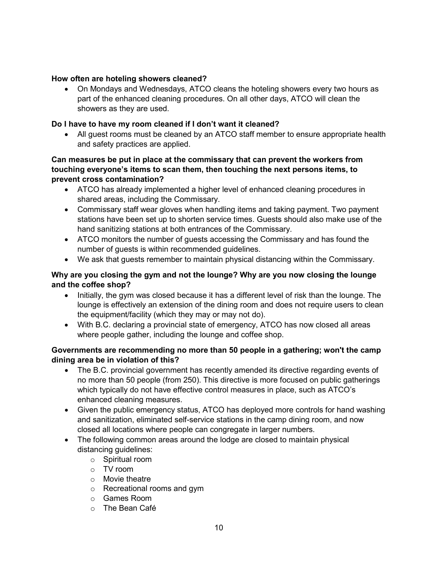#### <span id="page-9-0"></span>**How often are hoteling showers cleaned?**

• On Mondays and Wednesdays, ATCO cleans the hoteling showers every two hours as part of the enhanced cleaning procedures. On all other days, ATCO will clean the showers as they are used.

## <span id="page-9-1"></span>**Do I have to have my room cleaned if I don't want it cleaned?**

• All quest rooms must be cleaned by an ATCO staff member to ensure appropriate health and safety practices are applied.

#### <span id="page-9-2"></span>**Can measures be put in place at the commissary that can prevent the workers from touching everyone's items to scan them, then touching the next persons items, to prevent cross contamination?**

- ATCO has already implemented a higher level of enhanced cleaning procedures in shared areas, including the Commissary.
- Commissary staff wear gloves when handling items and taking payment. Two payment stations have been set up to shorten service times. Guests should also make use of the hand sanitizing stations at both entrances of the Commissary.
- ATCO monitors the number of guests accessing the Commissary and has found the number of guests is within recommended guidelines.
- We ask that guests remember to maintain physical distancing within the Commissary.

# <span id="page-9-3"></span>**Why are you closing the gym and not the lounge? Why are you now closing the lounge and the coffee shop?**

- Initially, the gym was closed because it has a different level of risk than the lounge. The lounge is effectively an extension of the dining room and does not require users to clean the equipment/facility (which they may or may not do).
- With B.C. declaring a provincial state of emergency, ATCO has now closed all areas where people gather, including the lounge and coffee shop.

#### <span id="page-9-4"></span>**Governments are recommending no more than 50 people in a gathering; won't the camp dining area be in violation of this?**

- The B.C. provincial government has recently amended its directive regarding events of no more than 50 people (from 250). This directive is more focused on public gatherings which typically do not have effective control measures in place, such as ATCO's enhanced cleaning measures.
- Given the public emergency status, ATCO has deployed more controls for hand washing and sanitization, eliminated self-service stations in the camp dining room, and now closed all locations where people can congregate in larger numbers.
- The following common areas around the lodge are closed to maintain physical distancing guidelines:
	- o Spiritual room
	- o TV room
	- o Movie theatre
	- o Recreational rooms and gym
	- o Games Room
	- o The Bean Café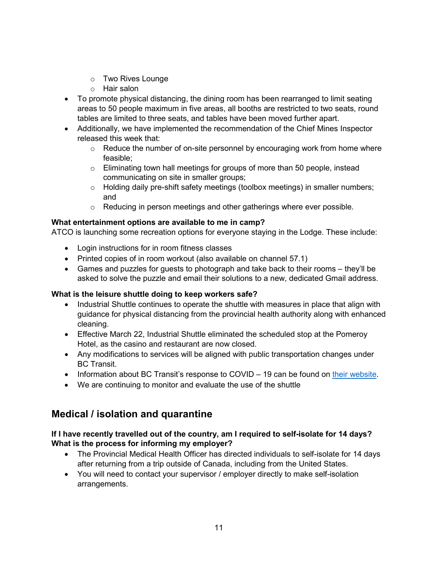- o Two Rives Lounge
- o Hair salon
- To promote physical distancing, the dining room has been rearranged to limit seating areas to 50 people maximum in five areas, all booths are restricted to two seats, round tables are limited to three seats, and tables have been moved further apart.
- Additionally, we have implemented the recommendation of the Chief Mines Inspector released this week that:
	- o Reduce the number of on-site personnel by encouraging work from home where feasible;
	- $\circ$  Eliminating town hall meetings for groups of more than 50 people, instead communicating on site in smaller groups;
	- o Holding daily pre-shift safety meetings (toolbox meetings) in smaller numbers; and
	- o Reducing in person meetings and other gatherings where ever possible.

#### <span id="page-10-0"></span>**What entertainment options are available to me in camp?**

ATCO is launching some recreation options for everyone staying in the Lodge. These include:

- Login instructions for in room fitness classes
- Printed copies of in room workout (also available on channel 57.1)
- Games and puzzles for guests to photograph and take back to their rooms they'll be asked to solve the puzzle and email their solutions to a new, dedicated Gmail address.

# <span id="page-10-1"></span>**What is the leisure shuttle doing to keep workers safe?**

- Industrial Shuttle continues to operate the shuttle with measures in place that align with guidance for physical distancing from the provincial health authority along with enhanced cleaning.
- Effective March 22, Industrial Shuttle eliminated the scheduled stop at the Pomeroy Hotel, as the casino and restaurant are now closed.
- Any modifications to services will be aligned with public transportation changes under BC Transit.
- Information about BC Transit's response to COVID 19 can be found on [their website.](https://www.bctransit.com/fort-st-john/home)
- We are continuing to monitor and evaluate the use of the shuttle

# <span id="page-10-2"></span>**Medical / isolation and quarantine**

# <span id="page-10-3"></span>**If I have recently travelled out of the country, am I required to self-isolate for 14 days? What is the process for informing my employer?**

- The Provincial Medical Health Officer has directed individuals to self-isolate for 14 days after returning from a trip outside of Canada, including from the United States.
- You will need to contact your supervisor / employer directly to make self-isolation arrangements.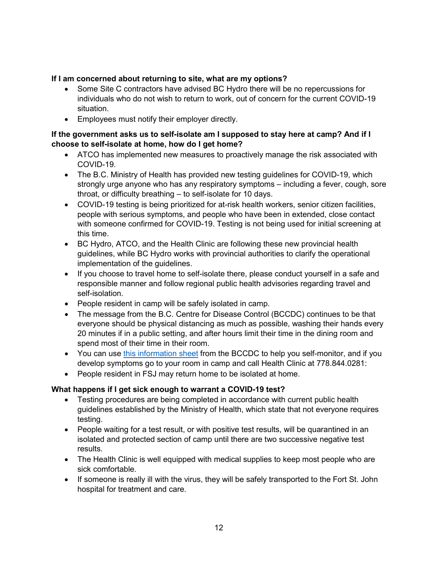# <span id="page-11-0"></span>**If I am concerned about returning to site, what are my options?**

- Some Site C contractors have advised BC Hydro there will be no repercussions for individuals who do not wish to return to work, out of concern for the current COVID-19 situation.
- Employees must notify their employer directly.

## <span id="page-11-1"></span>**If the government asks us to self-isolate am I supposed to stay here at camp? And if I choose to self-isolate at home, how do I get home?**

- ATCO has implemented new measures to proactively manage the risk associated with COVID-19.
- The B.C. Ministry of Health has provided new testing guidelines for COVID-19, which strongly urge anyone who has any respiratory symptoms – including a fever, cough, sore throat, or difficulty breathing – to self-isolate for 10 days.
- COVID-19 testing is being prioritized for at-risk health workers, senior citizen facilities, people with serious symptoms, and people who have been in extended, close contact with someone confirmed for COVID-19. Testing is not being used for initial screening at this time.
- BC Hydro, ATCO, and the Health Clinic are following these new provincial health guidelines, while BC Hydro works with provincial authorities to clarify the operational implementation of the guidelines.
- If you choose to travel home to self-isolate there, please conduct yourself in a safe and responsible manner and follow regional public health advisories regarding travel and self-isolation.
- People resident in camp will be safely isolated in camp.
- The message from the B.C. Centre for Disease Control (BCCDC) continues to be that everyone should be physical distancing as much as possible, washing their hands every 20 minutes if in a public setting, and after hours limit their time in the dining room and spend most of their time in their room.
- You can use [this information sheet](http://www.bccdc.ca/resource-gallery/Documents/Guidelines%20and%20Forms/Guidelines%20and%20Manuals/Epid/CD%20Manual/Chapter%201%20-%20CDC/COVID19-Contact-monitoring-form.pdf) from the BCCDC to help you self-monitor, and if you develop symptoms go to your room in camp and call Health Clinic at 778.844.0281:
- People resident in FSJ may return home to be isolated at home.

# <span id="page-11-2"></span>**What happens if I get sick enough to warrant a COVID-19 test?**

- Testing procedures are being completed in accordance with current public health guidelines established by the Ministry of Health, which state that not everyone requires testing.
- People waiting for a test result, or with positive test results, will be quarantined in an isolated and protected section of camp until there are two successive negative test results.
- The Health Clinic is well equipped with medical supplies to keep most people who are sick comfortable.
- If someone is really ill with the virus, they will be safely transported to the Fort St. John hospital for treatment and care.